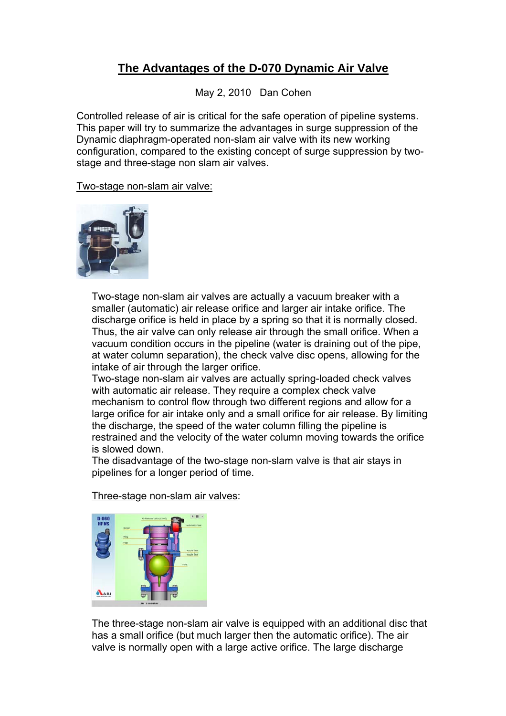## **The Advantages of the D-070 Dynamic Air Valve**

May 2, 2010 Dan Cohen

Controlled release of air is critical for the safe operation of pipeline systems. This paper will try to summarize the advantages in surge suppression of the Dynamic diaphragm-operated non-slam air valve with its new working configuration, compared to the existing concept of surge suppression by twostage and three-stage non slam air valves.

Two-stage non-slam air valve:



Two-stage non-slam air valves are actually a vacuum breaker with a smaller (automatic) air release orifice and larger air intake orifice. The discharge orifice is held in place by a spring so that it is normally closed. Thus, the air valve can only release air through the small orifice. When a vacuum condition occurs in the pipeline (water is draining out of the pipe, at water column separation), the check valve disc opens, allowing for the intake of air through the larger orifice.

Two-stage non-slam air valves are actually spring-loaded check valves with automatic air release. They require a complex check valve mechanism to control flow through two different regions and allow for a large orifice for air intake only and a small orifice for air release. By limiting the discharge, the speed of the water column filling the pipeline is restrained and the velocity of the water column moving towards the orifice is slowed down.

The disadvantage of the two-stage non-slam valve is that air stays in pipelines for a longer period of time.

Three-stage non-slam air valves:



The three-stage non-slam air valve is equipped with an additional disc that has a small orifice (but much larger then the automatic orifice). The air valve is normally open with a large active orifice. The large discharge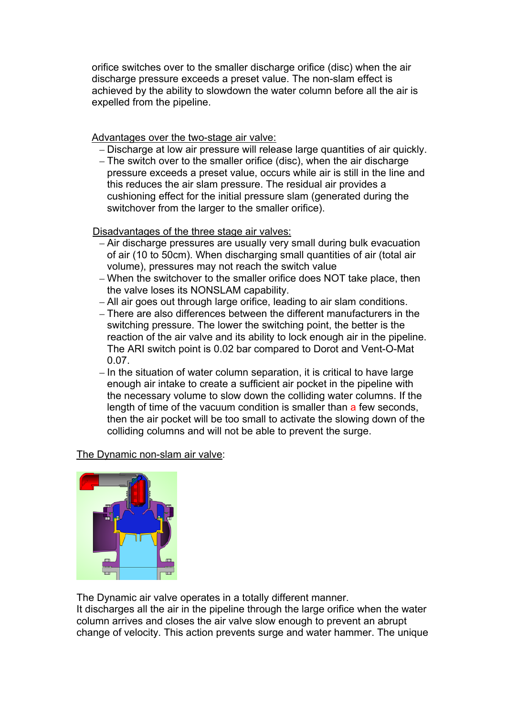orifice switches over to the smaller discharge orifice (disc) when the air discharge pressure exceeds a preset value. The non-slam effect is achieved by the ability to slowdown the water column before all the air is expelled from the pipeline.

Advantages over the two-stage air valve:

- Discharge at low air pressure will release large quantities of air quickly.
- The switch over to the smaller orifice (disc), when the air discharge pressure exceeds a preset value, occurs while air is still in the line and this reduces the air slam pressure. The residual air provides a cushioning effect for the initial pressure slam (generated during the switchover from the larger to the smaller orifice).

Disadvantages of the three stage air valves:

- Air discharge pressures are usually very small during bulk evacuation of air (10 to 50cm). When discharging small quantities of air (total air volume), pressures may not reach the switch value
- When the switchover to the smaller orifice does NOT take place, then the valve loses its NONSLAM capability.
- All air goes out through large orifice, leading to air slam conditions.
- There are also differences between the different manufacturers in the switching pressure. The lower the switching point, the better is the reaction of the air valve and its ability to lock enough air in the pipeline. The ARI switch point is 0.02 bar compared to Dorot and Vent-O-Mat 0.07.
- In the situation of water column separation, it is critical to have large enough air intake to create a sufficient air pocket in the pipeline with the necessary volume to slow down the colliding water columns. If the length of time of the vacuum condition is smaller than a few seconds, then the air pocket will be too small to activate the slowing down of the colliding columns and will not be able to prevent the surge.

The Dynamic non-slam air valve:



The Dynamic air valve operates in a totally different manner. It discharges all the air in the pipeline through the large orifice when the water column arrives and closes the air valve slow enough to prevent an abrupt change of velocity. This action prevents surge and water hammer. The unique